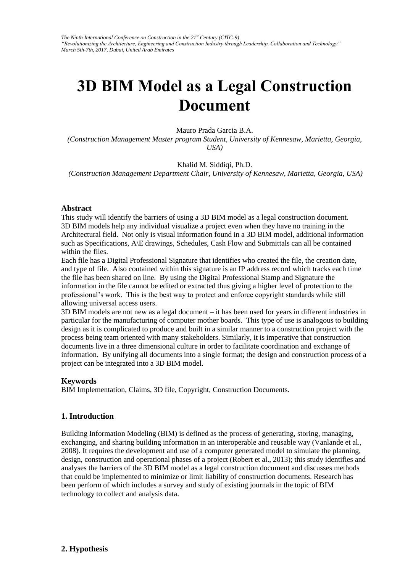*The Ninth International Conference on Construction in the 21st Century (CITC-9) "Revolutionizing the Architecture, Engineering and Construction Industry through Leadership, Collaboration and Technology" March 5th-7th, 2017, Dubai, United Arab Emirates* 

# **3D BIM Model as a Legal Construction Document**

Mauro Prada Garcia B.A.

*(Construction Management Master [program Student, Universi](http://facultyweb.kennesaw.edu/ksiddiqi/index.php)ty of Kennesaw, Marietta, Georgia, USA)* 

Khalid M. Siddiqi, Ph.D.

*(Construction Management Department Chair, University of Kennesaw, Marietta, Georgia, USA)* 

#### **Abstract**

This study will identify the barriers of using a 3D BIM model as a legal construction document. 3D BIM models help any individual visualize a project even when they have no training in the Architectural field. Not only is visual information found in a 3D BIM model, additional information such as Specifications, A\E drawings, Schedules, Cash Flow and Submittals can all be contained within the files.

Each file has a Digital Professional Signature that identifies who created the file, the creation date, and type of file. Also contained within this signature is an IP address record which tracks each time the file has been shared on line. By using the Digital Professional Stamp and Signature the information in the file cannot be edited or extracted thus giving a higher level of protection to the professional's work. This is the best way to protect and enforce copyright standards while still allowing universal access users.

3D BIM models are not new as a legal document – it has been used for years in different industries in particular for the manufacturing of computer mother boards. This type of use is analogous to building design as it is complicated to produce and built in a similar manner to a construction project with the process being team oriented with many stakeholders. Similarly, it is imperative that construction documents live in a three dimensional culture in order to facilitate coordination and exchange of information. By unifying all documents into a single format; the design and construction process of a project can be integrated into a 3D BIM model.

#### **Keywords**

BIM Implementation, Claims, 3D file, Copyright, Construction Documents.

### **1. Introduction**

Building Information Modeling (BIM) is defined as the process of generating, storing, managing, exchanging, and sharing building information in an interoperable and reusable way (Vanlande et al., 2008). It requires the development and use of a computer generated model to simulate the planning, design, construction and operational phases of a project (Robert et al., 2013); this study identifies and analyses the barriers of the 3D BIM model as a legal construction document and discusses methods that could be implemented to minimize or limit liability of construction documents. Research has been perform of which includes a survey and study of existing journals in the topic of BIM technology to collect and analysis data.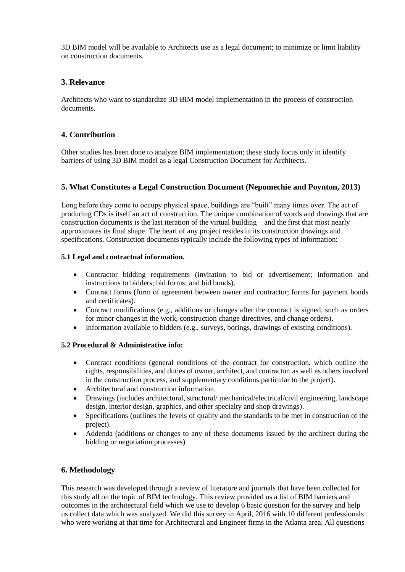3D BIM model will be available to Architects use as a legal document; to minimize or limit liability on construction documents.

# **3. Relevance**

Architects who want to standardize 3D BIM model implementation in the process of construction documents.

# **4. Contribution**

Other studies has been done to analyze BIM implementation; these study focus only in identify barriers of using 3D BIM model as a legal Construction Document for Architects.

# **5. What Constitutes a Legal Construction Document (Nepomechie and Poynton, 2013)**

Long before they come to occupy physical space, buildings are "built" many times over. The act of producing CDs is itself an act of construction. The unique combination of words and drawings that are construction documents is the last iteration of the virtual building—and the first that most nearly approximates its final shape. The heart of any project resides in its construction drawings and specifications. Construction documents typically include the following types of information:

# **5.1 Legal and contractual information.**

- Contractor bidding requirements (invitation to bid or advertisement; information and instructions to bidders; bid forms; and bid bonds).
- Contract forms (form of agreement between owner and contractor; forms for payment bonds and certificates).
- Contract modifications (e.g., additions or changes after the contract is signed, such as orders for minor changes in the work, construction change directives, and change orders).
- Information available to bidders (e.g., surveys, borings, drawings of existing conditions).

# **5.2 Procedural & Administrative info:**

- Contract conditions (general conditions of the contract for construction, which outline the rights, responsibilities, and duties of owner, architect, and contractor, as well as others involved in the construction process, and supplementary conditions particular to the project).
- Architectural and construction information.
- Drawings (includes architectural, structural/ mechanical/electrical/civil engineering, landscape design, interior design, graphics, and other specialty and shop drawings).
- Specifications (outlines the levels of quality and the standards to be met in construction of the project).
- Addenda (additions or changes to any of these documents issued by the architect during the bidding or negotiation processes)

# **6. Methodology**

This research was developed through a review of literature and journals that have been collected for this study all on the topic of BIM technology. This review provided us a list of BIM barriers and outcomes in the architectural field which we use to develop 6 basic question for the survey and help us collect data which was analyzed. We did this survey in April, 2016 with 10 different professionals who were working at that time for Architectural and Engineer firms in the Atlanta area. All questions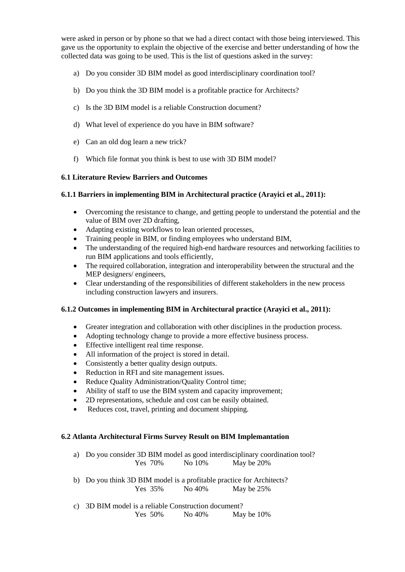were asked in person or by phone so that we had a direct contact with those being interviewed. This gave us the opportunity to explain the objective of the exercise and better understanding of how the collected data was going to be used. This is the list of questions asked in the survey:

- a) Do you consider 3D BIM model as good interdisciplinary coordination tool?
- b) Do you think the 3D BIM model is a profitable practice for Architects?
- c) Is the 3D BIM model is a reliable Construction document?
- d) What level of experience do you have in BIM software?
- e) Can an old dog learn a new trick?
- f) Which file format you think is best to use with 3D BIM model?

## **6.1 Literature Review Barriers and Outcomes**

## **6.1.1 Barriers in implementing BIM in Architectural practice (Arayici et al., 2011):**

- Overcoming the resistance to change, and getting people to understand the potential and the value of BIM over 2D drafting,
- Adapting existing workflows to lean oriented processes,
- Training people in BIM, or finding employees who understand BIM,
- The understanding of the required high-end hardware resources and networking facilities to run BIM applications and tools efficiently,
- The required collaboration, integration and interoperability between the structural and the MEP designers/ engineers,
- Clear understanding of the responsibilities of different stakeholders in the new process including construction lawyers and insurers.

## **6.1.2 Outcomes in implementing BIM in Architectural practice (Arayici et al., 2011):**

- Greater integration and collaboration with other disciplines in the production process.
- Adopting technology change to provide a more effective business process.
- Effective intelligent real time response.
- All information of the project is stored in detail.
- Consistently a better quality design outputs.
- Reduction in RFI and site management issues.
- Reduce Quality Administration/Quality Control time;
- Ability of staff to use the BIM system and capacity improvement;
- 2D representations, schedule and cost can be easily obtained.
- Reduces cost, travel, printing and document shipping.

## **6.2 Atlanta Architectural Firms Survey Result on BIM Implemantation**

a) Do you consider 3D BIM model as good interdisciplinary coordination tool? Yes 70% No 10% May be 20%

- b) Do you think 3D BIM model is a profitable practice for Architects? Yes 35% No 40% May be 25%
- c) 3D BIM model is a reliable Construction document? Yes 50% No 40% May be 10%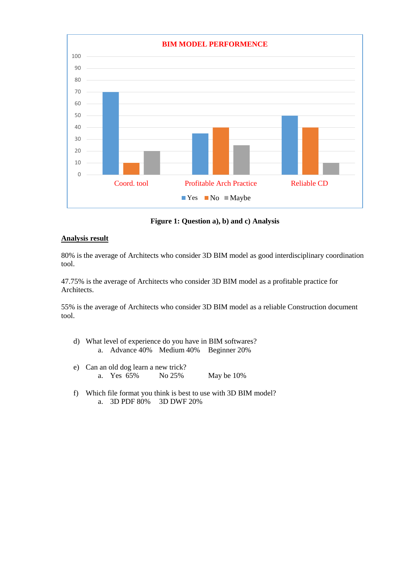

**Figure 1: Question a), b) and c) Analysis**

# **Analysis result**

80% is the average of Architects who consider 3D BIM model as good interdisciplinary coordination tool.

47.75% is the average of Architects who consider 3D BIM model as a profitable practice for Architects.

55% is the average of Architects who consider 3D BIM model as a reliable Construction document tool.

- d) What level of experience do you have in BIM softwares? a. Advance 40% Medium 40% Beginner 20%
- e) Can an old dog learn a new trick? a. Yes 65% No 25% May be 10%
- f) Which file format you think is best to use with 3D BIM model? a. 3D PDF 80% 3D DWF 20%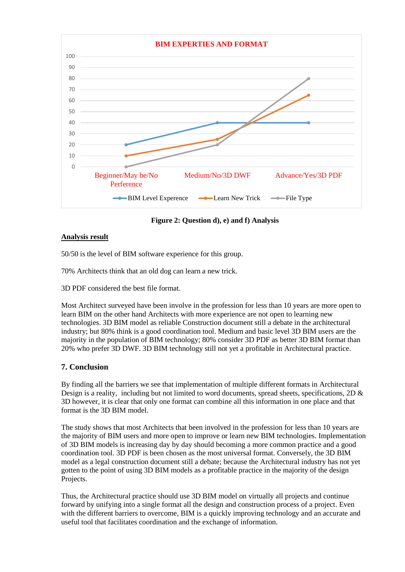

**Figure 2: Question d), e) and f) Analysis**

# **Analysis result**

50/50 is the level of BIM software experience for this group.

70% Architects think that an old dog can learn a new trick.

3D PDF considered the best file format.

Most Architect surveyed have been involve in the profession for less than 10 years are more open to learn BIM on the other hand Architects with more experience are not open to learning new technologies. 3D BIM model as reliable Construction document still a debate in the architectural industry; but 80% think is a good coordination tool. Medium and basic level 3D BIM users are the majority in the population of BIM technology; 80% consider 3D PDF as better 3D BIM format than 20% who prefer 3D DWF. 3D BIM technology still not yet a profitable in Architectural practice.

# **7. Conclusion**

By finding all the barriers we see that implementation of multiple different formats in Architectural Design is a reality, including but not limited to word documents, spread sheets, specifications, 2D & 3D however, it is clear that only one format can combine all this information in one place and that format is the 3D BIM model.

The study shows that most Architects that been involved in the profession for less than 10 years are the majority of BIM users and more open to improve or learn new BIM technologies. Implementation of 3D BIM models is increasing day by day should becoming a more common practice and a good coordination tool. 3D PDF is been chosen as the most universal format. Conversely, the 3D BIM model as a legal construction document still a debate; because the Architectural industry has not yet gotten to the point of using 3D BIM models as a profitable practice in the majority of the design Projects.

Thus, the Architectural practice should use 3D BIM model on virtually all projects and continue forward by unifying into a single format all the design and construction process of a project. Even with the different barriers to overcome, BIM is a quickly improving technology and an accurate and useful tool that facilitates coordination and the exchange of information.